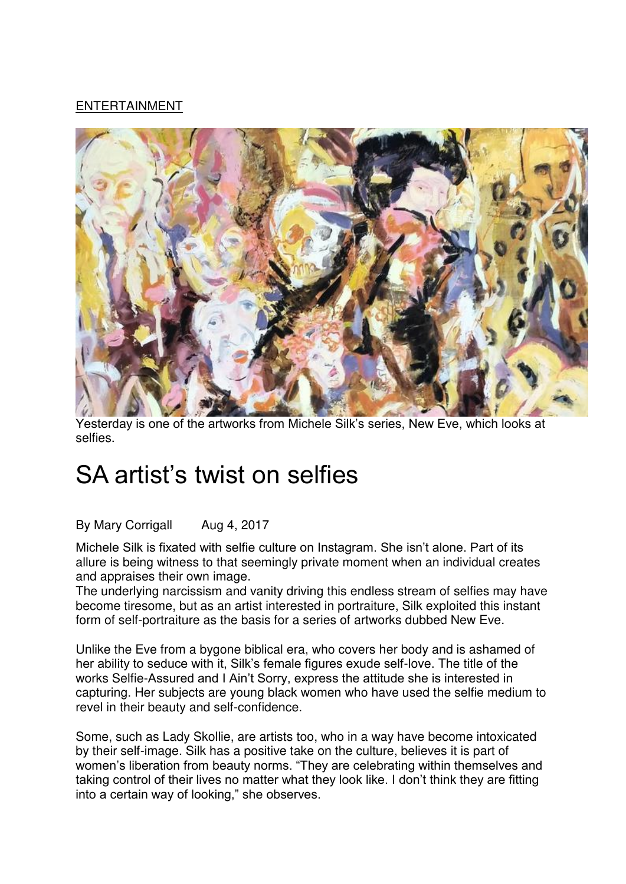## [ENTERTAINMENT](https://www.iol.co.za/entertainment)



Yesterday is one of the artworks from Michele Silk's series, New Eve, which looks at selfies.

## SA artist's twist on selfies

## By Mary Corrigall Aug 4, 2017

Michele Silk is fixated with selfie culture on Instagram. She isn't alone. Part of its allure is being witness to that seemingly private moment when an individual creates and appraises their own image.

The underlying narcissism and vanity driving this endless stream of selfies may have become tiresome, but as an artist interested in portraiture, Silk exploited this instant form of self-portraiture as the basis for a series of artworks dubbed New Eve.

Unlike the Eve from a bygone biblical era, who covers her body and is ashamed of her ability to seduce with it, Silk's female figures exude self-love. The title of the works Selfie-Assured and I Ain't Sorry, express the attitude she is interested in capturing. Her subjects are young black women who have used the selfie medium to revel in their beauty and self-confidence.

Some, such as Lady Skollie, are artists too, who in a way have become intoxicated by their self-image. Silk has a positive take on the culture, believes it is part of women's liberation from beauty norms. "They are celebrating within themselves and taking control of their lives no matter what they look like. I don't think they are fitting into a certain way of looking," she observes.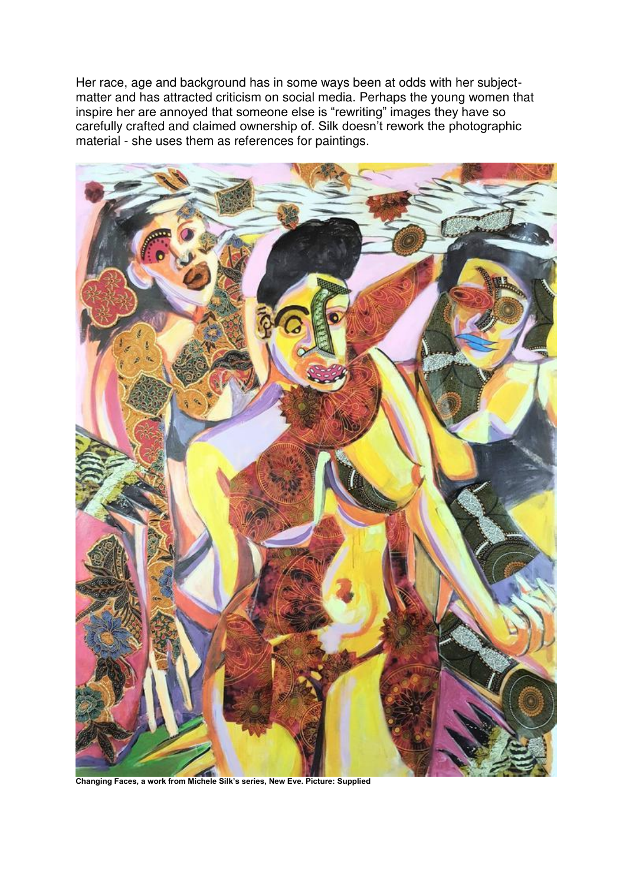Her race, age and background has in some ways been at odds with her subjectmatter and has attracted criticism on social media. Perhaps the young women that inspire her are annoyed that someone else is "rewriting" images they have so carefully crafted and claimed ownership of. Silk doesn't rework the photographic material - she uses them as references for paintings.



**Changing Faces, a work from Michele Silk's series, New Eve. Picture: Supplied**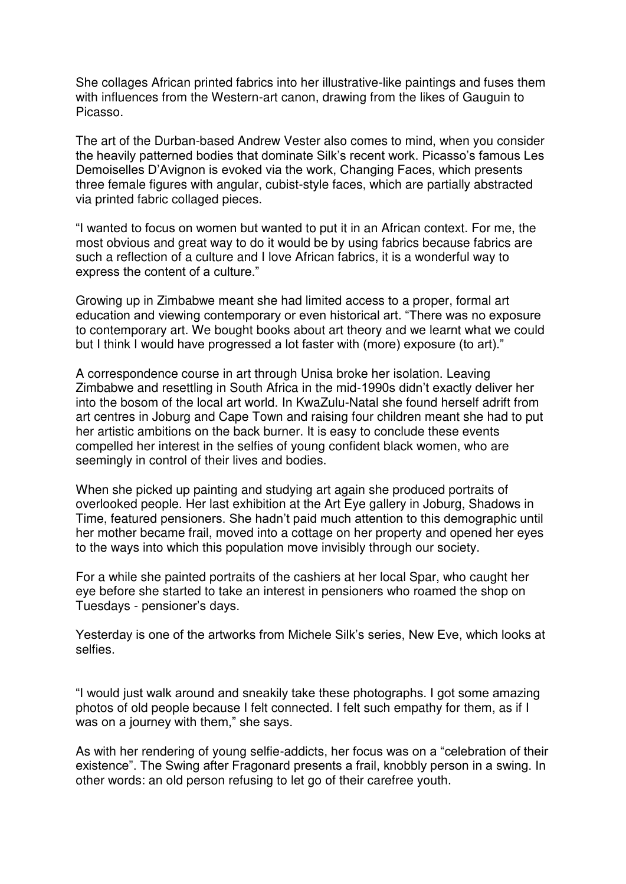She collages African printed fabrics into her illustrative-like paintings and fuses them with influences from the Western-art canon, drawing from the likes of Gauguin to Picasso.

The art of the Durban-based Andrew Vester also comes to mind, when you consider the heavily patterned bodies that dominate Silk's recent work. Picasso's famous Les Demoiselles D'Avignon is evoked via the work, Changing Faces, which presents three female figures with angular, cubist-style faces, which are partially abstracted via printed fabric collaged pieces.

"I wanted to focus on women but wanted to put it in an African context. For me, the most obvious and great way to do it would be by using fabrics because fabrics are such a reflection of a culture and I love African fabrics, it is a wonderful way to express the content of a culture."

Growing up in Zimbabwe meant she had limited access to a proper, formal art education and viewing contemporary or even historical art. "There was no exposure to contemporary art. We bought books about art theory and we learnt what we could but I think I would have progressed a lot faster with (more) exposure (to art)."

A correspondence course in art through Unisa broke her isolation. Leaving Zimbabwe and resettling in South Africa in the mid-1990s didn't exactly deliver her into the bosom of the local art world. In KwaZulu-Natal she found herself adrift from art centres in Joburg and Cape Town and raising four children meant she had to put her artistic ambitions on the back burner. It is easy to conclude these events compelled her interest in the selfies of young confident black women, who are seemingly in control of their lives and bodies.

When she picked up painting and studying art again she produced portraits of overlooked people. Her last exhibition at the Art Eye gallery in Joburg, Shadows in Time, featured pensioners. She hadn't paid much attention to this demographic until her mother became frail, moved into a cottage on her property and opened her eyes to the ways into which this population move invisibly through our society.

For a while she painted portraits of the cashiers at her local Spar, who caught her eye before she started to take an interest in pensioners who roamed the shop on Tuesdays - pensioner's days.

Yesterday is one of the artworks from Michele Silk's series, New Eve, which looks at selfies.

"I would just walk around and sneakily take these photographs. I got some amazing photos of old people because I felt connected. I felt such empathy for them, as if I was on a journey with them," she says.

As with her rendering of young selfie-addicts, her focus was on a "celebration of their existence". The Swing after Fragonard presents a frail, knobbly person in a swing. In other words: an old person refusing to let go of their carefree youth.